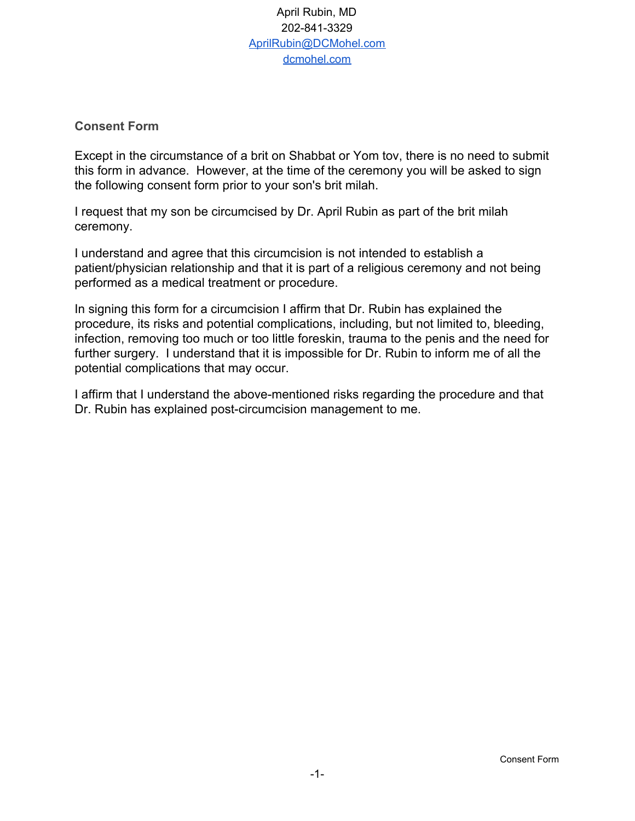## April Rubin, MD 202-841-3329 [AprilRubin@DCMohel.com](mailto:AprilRubin@DCMohel.com) [dcmohel.com](http://dcmohel.com/)

## **Consent Form**

Except in the circumstance of a brit on Shabbat or Yom tov, there is no need to submit this form in advance. However, at the time of the ceremony you will be asked to sign the following consent form prior to your son's brit milah.

I request that my son be circumcised by Dr. April Rubin as part of the brit milah ceremony.

I understand and agree that this circumcision is not intended to establish a patient/physician relationship and that it is part of a religious ceremony and not being performed as a medical treatment or procedure.

In signing this form for a circumcision I affirm that Dr. Rubin has explained the procedure, its risks and potential complications, including, but not limited to, bleeding, infection, removing too much or too little foreskin, trauma to the penis and the need for further surgery. I understand that it is impossible for Dr. Rubin to inform me of all the potential complications that may occur.

I affirm that I understand the above-mentioned risks regarding the procedure and that Dr. Rubin has explained post-circumcision management to me.